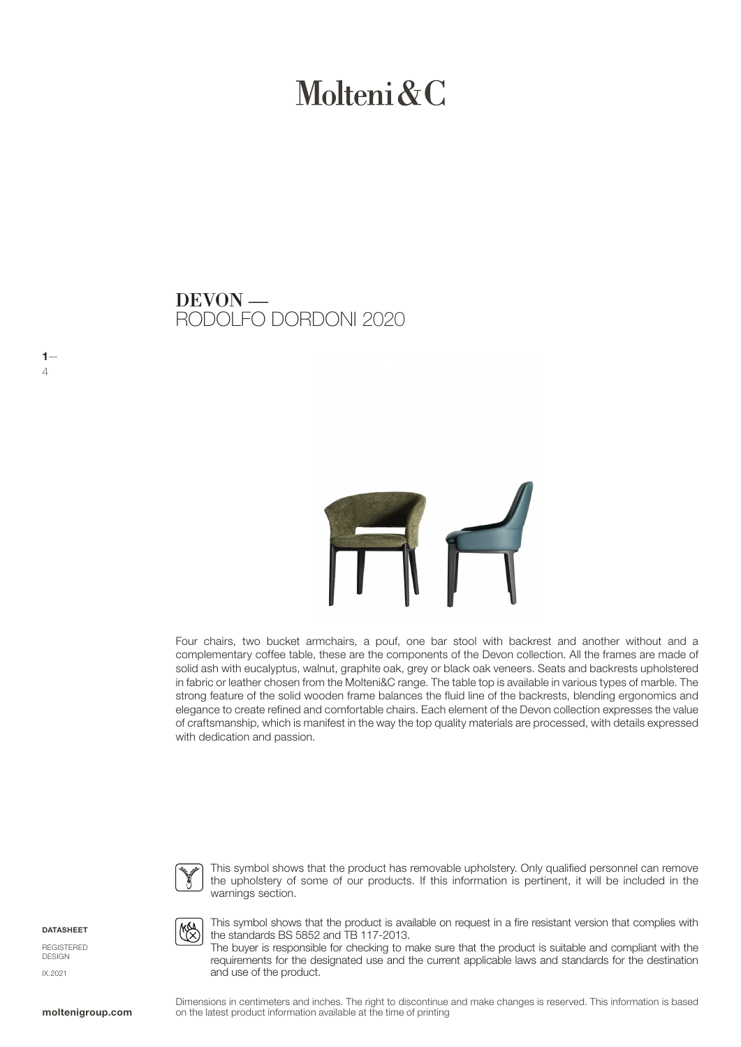# Molteni  $\&C$

## RODOLFO DORDONI 2020 DEVON —



Four chairs, two bucket armchairs, a pouf, one bar stool with backrest and another without and a complementary coffee table, these are the components of the Devon collection. All the frames are made of solid ash with eucalyptus, walnut, graphite oak, grey or black oak veneers. Seats and backrests upholstered in fabric or leather chosen from the Molteni&C range. The table top is available in various types of marble. The strong feature of the solid wooden frame balances the fluid line of the backrests, blending ergonomics and elegance to create refined and comfortable chairs. Each element of the Devon collection expresses the value of craftsmanship, which is manifest in the way the top quality materials are processed, with details expressed with dedication and passion.



This symbol shows that the product has removable upholstery. Only qualified personnel can remove the upholstery of some of our products. If this information is pertinent, it will be included in the warnings section.

**DATASHEET** 

 $1-$ 4

REGISTERED DESIGN IX.2021

**MAA** 

This symbol shows that the product is available on request in a fire resistant version that complies with the standards BS 5852 and TB 117-2013.

The buyer is responsible for checking to make sure that the product is suitable and compliant with the requirements for the designated use and the current applicable laws and standards for the destination and use of the product.

Dimensions in centimeters and inches. The right to discontinue and make changes is reserved. This information is based on the latest product information available at the time of printing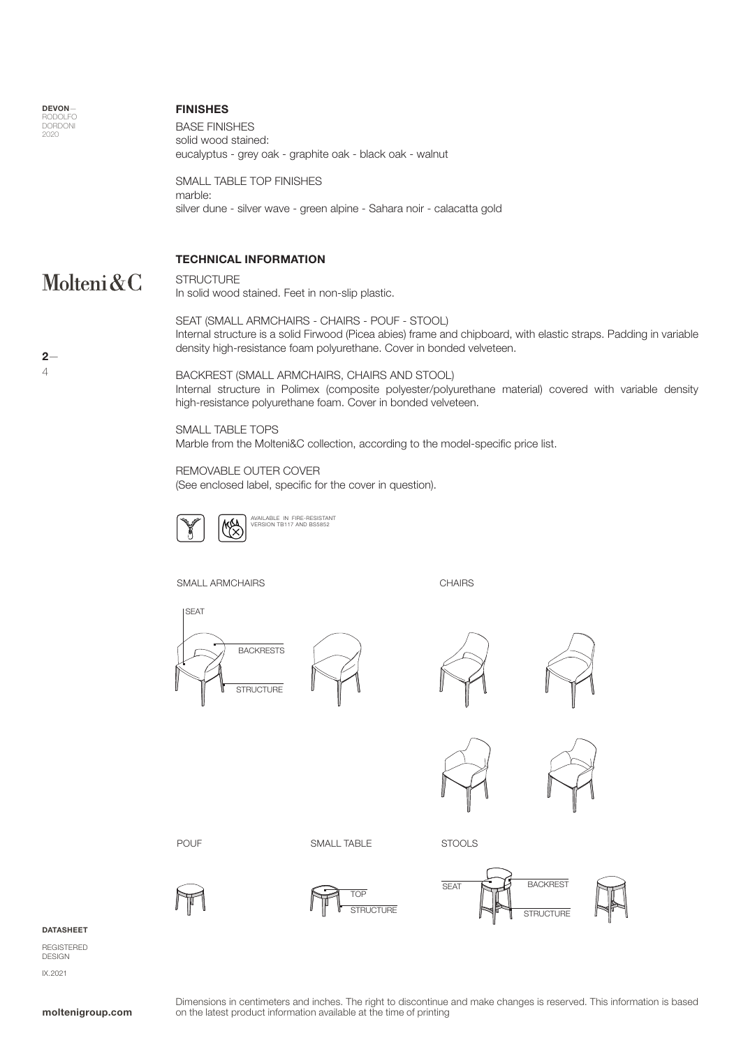

#### FINISHES

BASE FINISHES solid wood stained: eucalyptus - grey oak - graphite oak - black oak - walnut

SMALL TABLE TOP FINISHES marble: silver dune - silver wave - green alpine - Sahara noir - calacatta gold

### TECHNICAL INFORMATION

#### Molteni&C **STRUCTURE**

In solid wood stained. Feet in non-slip plastic.

SEAT (SMALL ARMCHAIRS - CHAIRS - POUF - STOOL) Internal structure is a solid Firwood (Picea abies) frame and chipboard, with elastic straps. Padding in variable density high-resistance foam polyurethane. Cover in bonded velveteen.

BACKREST (SMALL ARMCHAIRS, CHAIRS AND STOOL) Internal structure in Polimex (composite polyester/polyurethane material) covered with variable density high-resistance polyurethane foam. Cover in bonded velveteen.

SMALL TABLE TOPS Marble from the Molteni&C collection, according to the model-specific price list.

REMOVABLE OUTER COVER

(See enclosed label, specific for the cover in question).



**MA** AVAILABLE IN FIRE-RESISTANT VERSION TB117 AND BS5852

SMALL ARMCHAIRS

**CHAIRS** 













POUF SMALL TABLE STOOLS







**STRUCTURE** SEAT **BACKREST** 

#### DATASHEET

REGISTERED DESIGN IX.2021

Dimensions in centimeters and inches. The right to discontinue and make changes is reserved. This information is based on the latest product information available at the time of printing

 $2-$ 4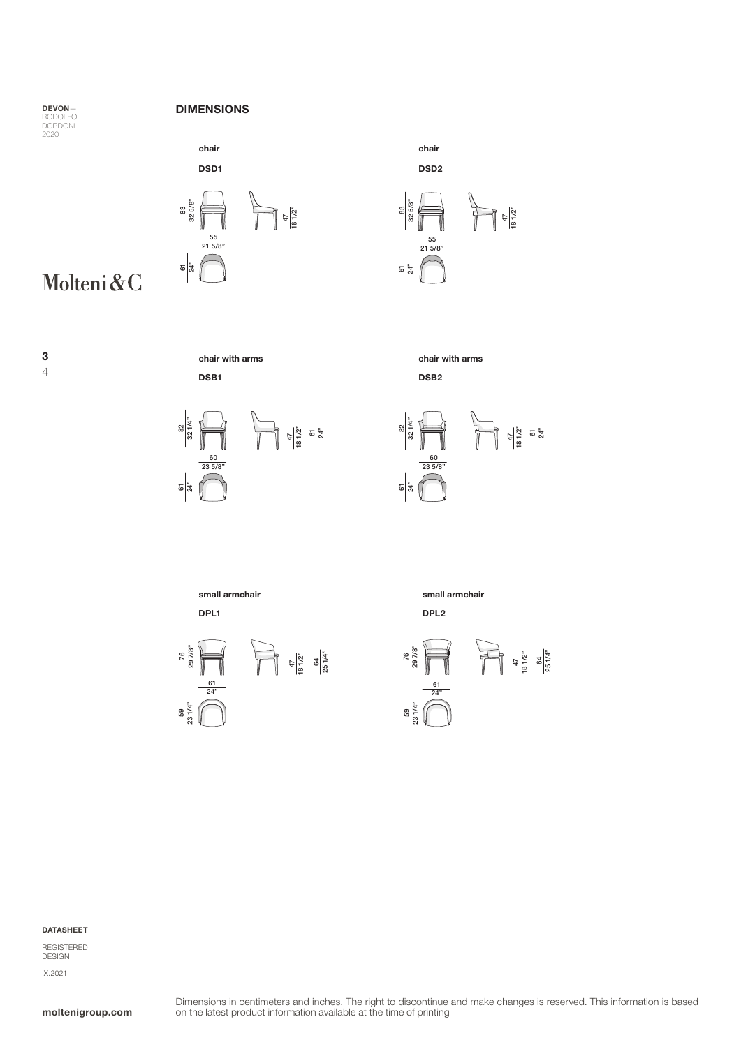DORDONI 2020

#### DEVON-<br>
DIMENSIONS





chair DSD2

55 21 5/8"

DSB2

<u>ছ|ক্ৰু</u>

83 32 5/8"

Molteni&C



chair with arms chair with arms DSB1





 $\frac{47}{181/2"}$ 

DPL1 DPL2



small armchair small armchair



#### DATASHEET

REGISTERED DESIGN IX.2021